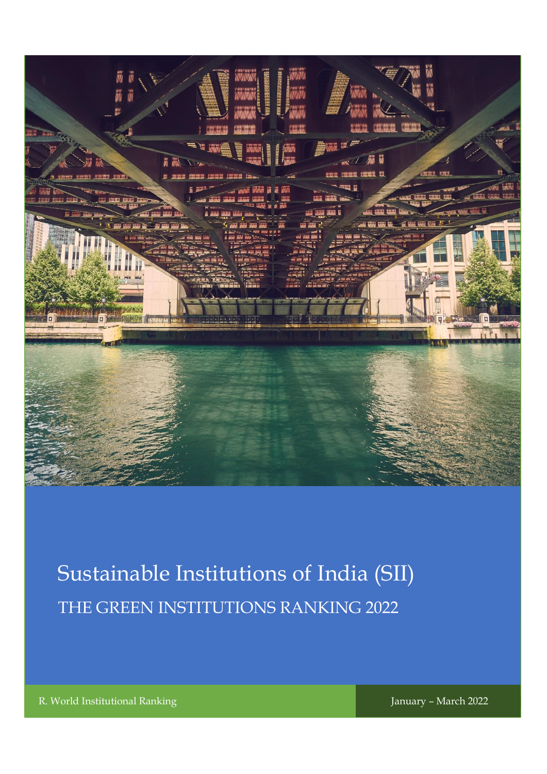

# Sustainable Institutions of India (SII) THE GREEN INSTITUTIONS RANKING 2022

R. World Institutional Ranking January – March 2022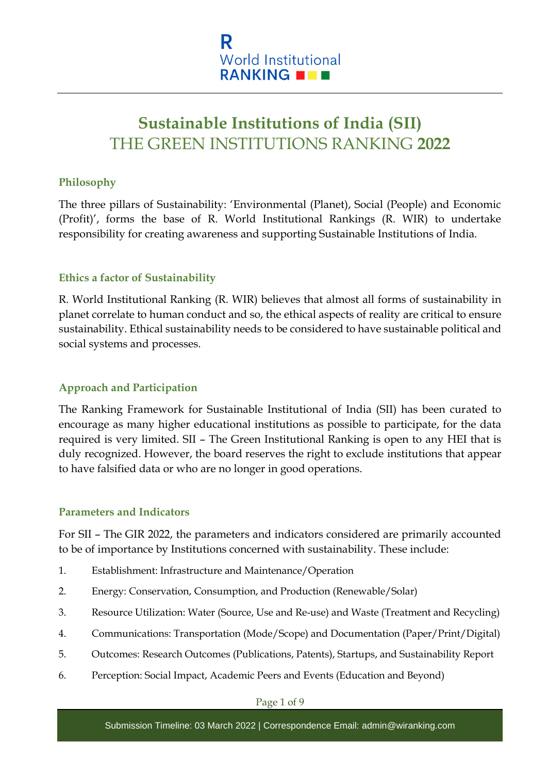

## **Sustainable Institutions of India (SII)** THE GREEN INSTITUTIONS RANKING **2022**

## **Philosophy**

The three pillars of Sustainability: 'Environmental (Planet), Social (People) and Economic (Profit)', forms the base of R. World Institutional Rankings (R. WIR) to undertake responsibility for creating awareness and supporting Sustainable Institutions of India.

## **Ethics a factor of Sustainability**

R. World Institutional Ranking (R. WIR) believes that almost all forms of sustainability in planet correlate to human conduct and so, the ethical aspects of reality are critical to ensure sustainability. Ethical sustainability needs to be considered to have sustainable political and social systems and processes.

## **Approach and Participation**

The Ranking Framework for Sustainable Institutional of India (SII) has been curated to encourage as many higher educational institutions as possible to participate, for the data required is very limited. SII – The Green Institutional Ranking is open to any HEI that is duly recognized. However, the board reserves the right to exclude institutions that appear to have falsified data or who are no longer in good operations.

## **Parameters and Indicators**

For SII – The GIR 2022, the parameters and indicators considered are primarily accounted to be of importance by Institutions concerned with sustainability. These include:

- 1. Establishment: Infrastructure and Maintenance/Operation
- 2. Energy: Conservation, Consumption, and Production (Renewable/Solar)
- 3. Resource Utilization: Water (Source, Use and Re-use) and Waste (Treatment and Recycling)
- 4. Communications: Transportation (Mode/Scope) and Documentation (Paper/Print/Digital)
- 5. Outcomes: Research Outcomes (Publications, Patents), Startups, and Sustainability Report
- 6. Perception: Social Impact, Academic Peers and Events (Education and Beyond)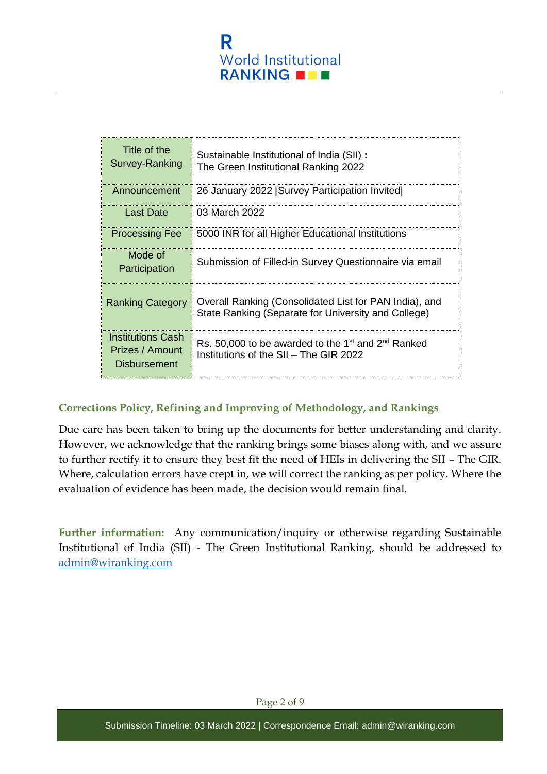

| Title of the<br>Survey-Ranking                              | Sustainable Institutional of India (SII) :<br>The Green Institutional Ranking 2022                                   |
|-------------------------------------------------------------|----------------------------------------------------------------------------------------------------------------------|
| Announcement                                                | 26 January 2022 [Survey Participation Invited]                                                                       |
| Last Date                                                   | 03 March 2022                                                                                                        |
| <b>Processing Fee</b>                                       | 5000 INR for all Higher Educational Institutions                                                                     |
| Mode of<br>Participation                                    | Submission of Filled-in Survey Questionnaire via email                                                               |
| <b>Ranking Category</b>                                     | Overall Ranking (Consolidated List for PAN India), and<br>State Ranking (Separate for University and College)        |
| Institutions Cash<br>Prizes / Amount<br><b>Disbursement</b> | Rs. 50,000 to be awarded to the 1 <sup>st</sup> and 2 <sup>nd</sup> Ranked<br>Institutions of the SII - The GIR 2022 |

## **Corrections Policy, Refining and Improving of Methodology, and Rankings**

Due care has been taken to bring up the documents for better understanding and clarity. However, we acknowledge that the ranking brings some biases along with, and we assure to further rectify it to ensure they best fit the need of HEIs in delivering the SII – The GIR. Where, calculation errors have crept in, we will correct the ranking as per policy. Where the evaluation of evidence has been made, the decision would remain final.

**Further information:** Any communication/inquiry or otherwise regarding Sustainable Institutional of India (SII) - The Green Institutional Ranking, should be addressed to [admin@wiranking.com](mailto:admin@wiranking.com)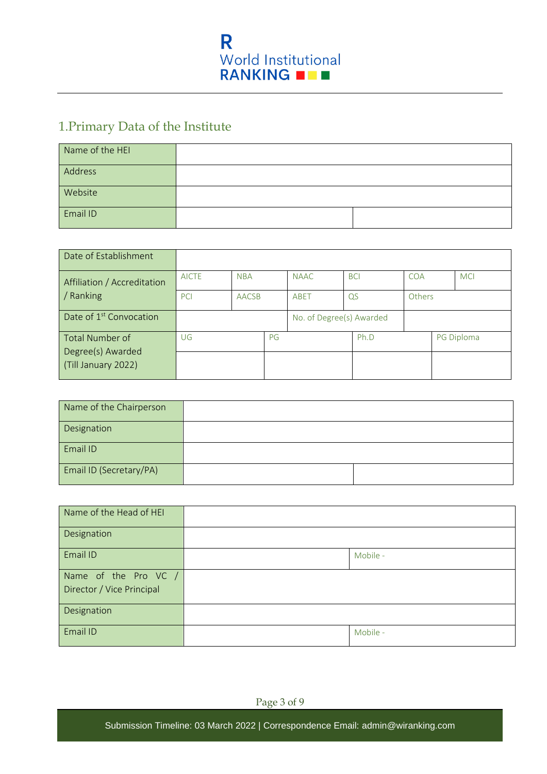

## 1.Primary Data of the Institute

| Name of the HEI |  |
|-----------------|--|
| Address         |  |
| Website         |  |
| Email ID        |  |

| Date of Establishment                    |              |              |    |                          |            |      |     |        |            |
|------------------------------------------|--------------|--------------|----|--------------------------|------------|------|-----|--------|------------|
| Affiliation / Accreditation              | <b>AICTE</b> | <b>NBA</b>   |    | <b>NAAC</b>              | <b>BCI</b> |      | COA |        | <b>MCI</b> |
| / Ranking                                | PCI          | <b>AACSB</b> |    | ABET                     | QS         |      |     | Others |            |
| Date of 1 <sup>st</sup> Convocation      |              |              |    | No. of Degree(s) Awarded |            |      |     |        |            |
| Total Number of                          | UG           |              | PG |                          |            | Ph.D |     |        | PG Diploma |
| Degree(s) Awarded<br>(Till January 2022) |              |              |    |                          |            |      |     |        |            |

| Name of the Chairperson |  |
|-------------------------|--|
| Designation             |  |
| Email ID                |  |
| Email ID (Secretary/PA) |  |

| Name of the Head of HEI                           |          |
|---------------------------------------------------|----------|
| Designation                                       |          |
| Email ID                                          | Mobile - |
| Name of the Pro VC /<br>Director / Vice Principal |          |
| Designation                                       |          |
| Email ID                                          | Mobile - |

Page 3 of 9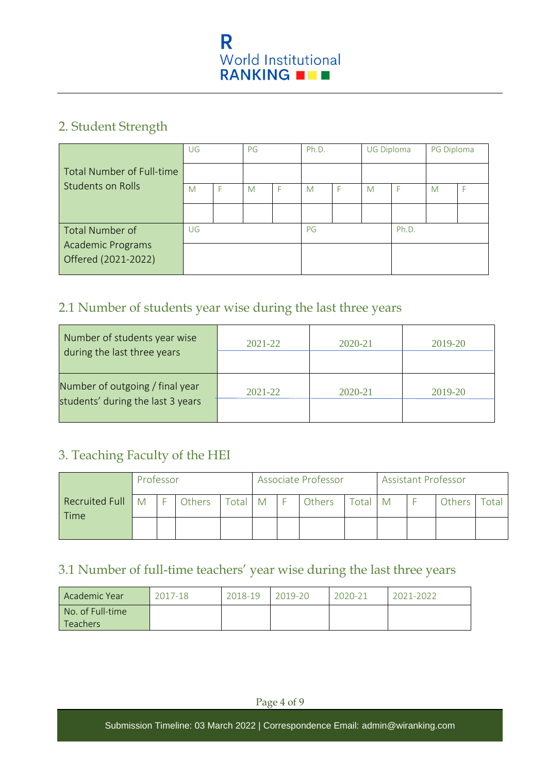

## 2. Student Strength

|                                                | UG |  | PG |  | Ph.D. |  | <b>UG Diploma</b> |       | PG Diploma |  |
|------------------------------------------------|----|--|----|--|-------|--|-------------------|-------|------------|--|
| Total Number of Full-time<br>Students on Rolls |    |  |    |  |       |  |                   |       |            |  |
|                                                | M  |  | M  |  | M     |  | M                 |       | M          |  |
|                                                |    |  |    |  |       |  |                   |       |            |  |
| Total Number of                                | UG |  |    |  | PG    |  |                   | Ph.D. |            |  |
| <b>Academic Programs</b>                       |    |  |    |  |       |  |                   |       |            |  |
| Offered (2021-2022)                            |    |  |    |  |       |  |                   |       |            |  |

## 2.1 Number of students year wise during the last three years

| Number of students year wise<br>during the last three years          | $2021 - 22$ | $2020 - 21$ | 2019-20 |
|----------------------------------------------------------------------|-------------|-------------|---------|
| Number of outgoing / final year<br>students' during the last 3 years | $2021 - 22$ | $2020 - 21$ | 2019-20 |

## 3. Teaching Faculty of the HEI

|                               | Professor |  |               | Associate Professor |              |  | <b>Assistant Professor</b> |         |  |  |        |             |
|-------------------------------|-----------|--|---------------|---------------------|--------------|--|----------------------------|---------|--|--|--------|-------------|
| Recruited Full<br><b>Time</b> | M         |  | <b>Others</b> | Total               | $\mathsf{M}$ |  | Others                     | Total M |  |  | Others | $\tau$ otal |
|                               |           |  |               |                     |              |  |                            |         |  |  |        |             |

## 3.1 Number of full-time teachers' year wise during the last three years

| l Academic Year  | 2017-18 | 2018-19 | 2019-20 | 2020-21 | 2021-2022 |
|------------------|---------|---------|---------|---------|-----------|
| No. of Full-time |         |         |         |         |           |
| 'Teachers        |         |         |         |         |           |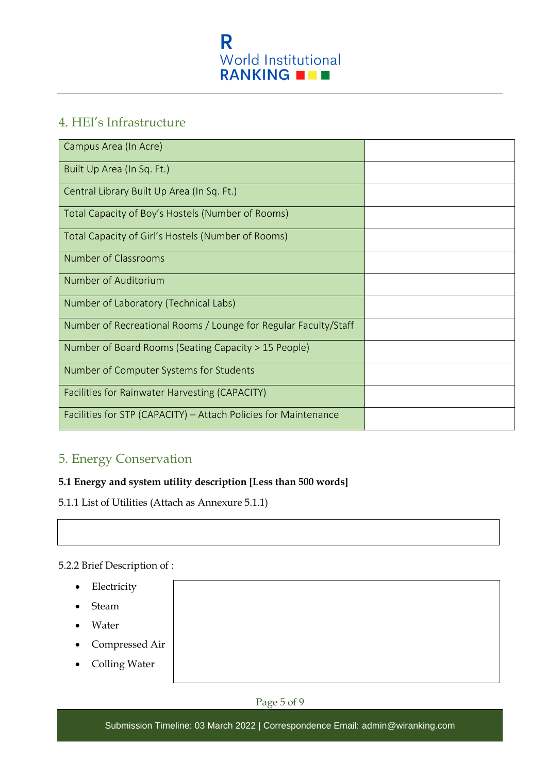

## 4. HEI's Infrastructure

| Campus Area (In Acre)                                           |  |
|-----------------------------------------------------------------|--|
| Built Up Area (In Sq. Ft.)                                      |  |
| Central Library Built Up Area (In Sq. Ft.)                      |  |
| Total Capacity of Boy's Hostels (Number of Rooms)               |  |
| Total Capacity of Girl's Hostels (Number of Rooms)              |  |
| Number of Classrooms                                            |  |
| Number of Auditorium                                            |  |
| Number of Laboratory (Technical Labs)                           |  |
| Number of Recreational Rooms / Lounge for Regular Faculty/Staff |  |
| Number of Board Rooms (Seating Capacity > 15 People)            |  |
| Number of Computer Systems for Students                         |  |
| Facilities for Rainwater Harvesting (CAPACITY)                  |  |
| Facilities for STP (CAPACITY) - Attach Policies for Maintenance |  |

## 5. Energy Conservation

## **5.1 Energy and system utility description [Less than 500 words]**

5.1.1 List of Utilities (Attach as Annexure 5.1.1)

## 5.2.2 Brief Description of :

- Electricity
- Steam
- Water
- Compressed Air
- Colling Water



Submission Timeline: 03 March 2022 | Correspondence Email: [admin@wiranking.com](mailto:admin@wiranking.com)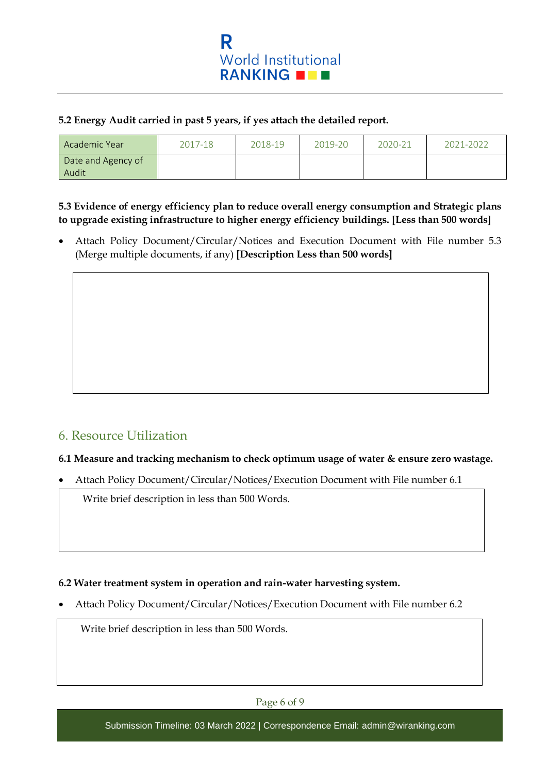

#### **5.2 Energy Audit carried in past 5 years, if yes attach the detailed report.**

| Academic Year               | 2017-18 | 2018-19 | 2019-20 | 2020-21 | 2021-2022 |
|-----------------------------|---------|---------|---------|---------|-----------|
| Date and Agency of<br>Audit |         |         |         |         |           |

#### **5.3 Evidence of energy efficiency plan to reduce overall energy consumption and Strategic plans to upgrade existing infrastructure to higher energy efficiency buildings. [Less than 500 words]**

• Attach Policy Document/Circular/Notices and Execution Document with File number 5.3 (Merge multiple documents, if any) **[Description Less than 500 words]**

## 6. Resource Utilization

#### **6.1 Measure and tracking mechanism to check optimum usage of water & ensure zero wastage.**

• Attach Policy Document/Circular/Notices/Execution Document with File number 6.1

Write brief description in less than 500 Words.

#### **6.2 Water treatment system in operation and rain-water harvesting system.**

• Attach Policy Document/Circular/Notices/Execution Document with File number 6.2

Write brief description in less than 500 Words.

Page 6 of 9

Submission Timeline: 03 March 2022 | Correspondence Email: [admin@wiranking.com](mailto:admin@wiranking.com)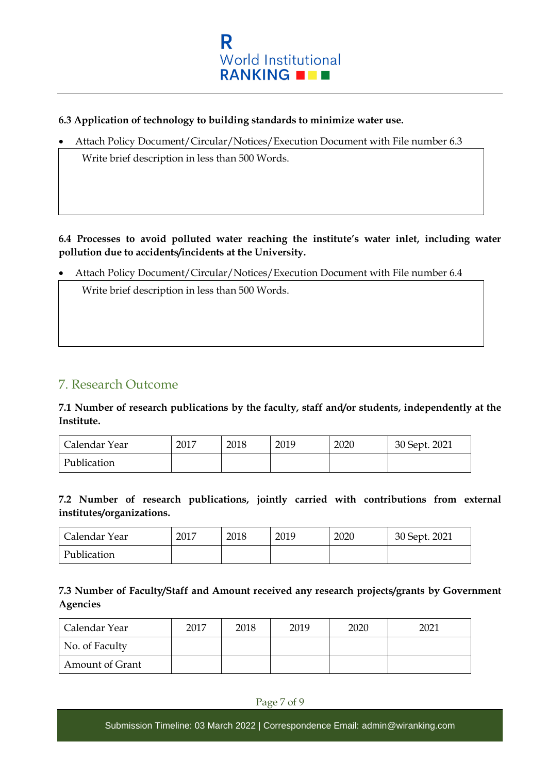

#### **6.3 Application of technology to building standards to minimize water use.**

• Attach Policy Document/Circular/Notices/Execution Document with File number 6.3

• Write brief description in less than 500 Words. Write brief description in less than 500 Words.

**6.4 Processes to avoid polluted water reaching the institute's water inlet, including water pollution due to accidents/incidents at the University.**

• Attach Policy Document/Circular/Notices/Execution Document with File number 6.4

• Write brief description in less than 500 Words. Write brief description in less than 500 Words.

## 7. Research Outcome

**7.1 Number of research publications by the faculty, staff and/or students, independently at the Institute.** 

| Calendar Year | 2017 | 2018 | 2019 | 2020 | 30 Sept. 2021 |
|---------------|------|------|------|------|---------------|
| Publication   |      |      |      |      |               |

**7.2 Number of research publications, jointly carried with contributions from external institutes/organizations.** 

| Calendar Year | 2017 | 2018 | 2019 | 2020 | 30 Sept. 2021 |
|---------------|------|------|------|------|---------------|
| Publication   |      |      |      |      |               |

## **7.3 Number of Faculty/Staff and Amount received any research projects/grants by Government Agencies**

| Calendar Year   | 2017 | 2018 | 2019 | 2020 | 2021 |
|-----------------|------|------|------|------|------|
| No. of Faculty  |      |      |      |      |      |
| Amount of Grant |      |      |      |      |      |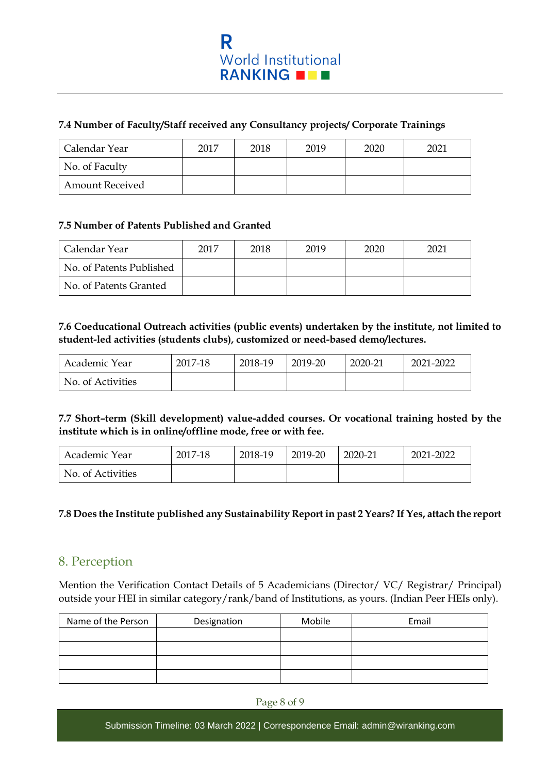#### **7.4 Number of Faculty/Staff received any Consultancy projects/ Corporate Trainings**

| Calendar Year          | 2017 | 2018 | 2019 | 2020 | 2021 |
|------------------------|------|------|------|------|------|
| No. of Faculty         |      |      |      |      |      |
| <b>Amount Received</b> |      |      |      |      |      |

#### **7.5 Number of Patents Published and Granted**

| Calendar Year            | 2017 | 2018 | 2019 | 2020 | 2021 |
|--------------------------|------|------|------|------|------|
| No. of Patents Published |      |      |      |      |      |
| No. of Patents Granted   |      |      |      |      |      |

#### **7.6 Coeducational Outreach activities (public events) undertaken by the institute, not limited to student-led activities (students clubs), customized or need-based demo/lectures.**

| Academic Year     | 2017-18 | 2018-19 | 2019-20 | 2020-21 | 2021-2022 |
|-------------------|---------|---------|---------|---------|-----------|
| No. of Activities |         |         |         |         |           |

#### **7.7 Short–term (Skill development) value-added courses. Or vocational training hosted by the institute which is in online/offline mode, free or with fee.**

| Academic Year     | 2017-18 | 2018-19 | 2019-20 | 2020-21 | 2021-2022 |
|-------------------|---------|---------|---------|---------|-----------|
| No. of Activities |         |         |         |         |           |

## **7.8 Does the Institute published any Sustainability Report in past 2 Years? If Yes, attach the report**

## 8. Perception

Mention the Verification Contact Details of 5 Academicians (Director/ VC/ Registrar/ Principal) outside your HEI in similar category/rank/band of Institutions, as yours. (Indian Peer HEIs only).

| Name of the Person | Designation | Mobile | Email |
|--------------------|-------------|--------|-------|
|                    |             |        |       |
|                    |             |        |       |
|                    |             |        |       |
|                    |             |        |       |